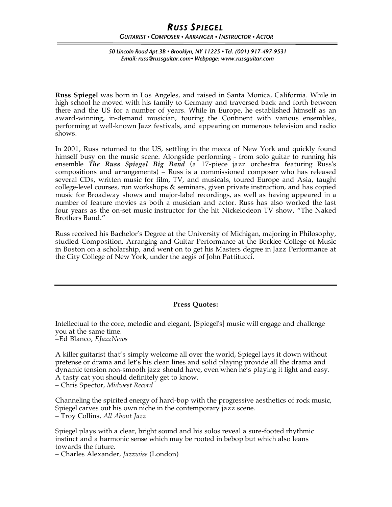## *RUSS SPIEGEL GUITARIST • COMPOSER • ARRANGER • INSTRUCTOR • ACTOR*

*50 Lincoln Road Apt.3B • Brooklyn, NY 11225 • Tel. (001) 917-497-9531 Email: russ@russguitar.com• Webpage: www.russguitar.com*

**Russ Spiegel** was born in Los Angeles, and raised in Santa Monica, California. While in high school he moved with his family to Germany and traversed back and forth between there and the US for a number of years. While in Europe, he established himself as an award-winning, in-demand musician, touring the Continent with various ensembles, performing at well-known Jazz festivals, and appearing on numerous television and radio shows.

In 2001, Russ returned to the US, settling in the mecca of New York and quickly found himself busy on the music scene. Alongside performing - from solo guitar to running his ensemble *The Russ Spiegel Big Band* (a 17-piece jazz orchestra featuring Russ's compositions and arrangements) – Russ is a commissioned composer who has released several CDs, written music for film, TV, and musicals, toured Europe and Asia, taught college-level courses, run workshops & seminars, given private instruction, and has copied music for Broadway shows and major-label recordings, as well as having appeared in a number of feature movies as both a musician and actor. Russ has also worked the last four years as the on-set music instructor for the hit Nickelodeon TV show, "The Naked Brothers Band."

Russ received his Bachelor's Degree at the University of Michigan, majoring in Philosophy, studied Composition, Arranging and Guitar Performance at the Berklee College of Music in Boston on a scholarship, and went on to get his Masters degree in Jazz Performance at the City College of New York, under the aegis of John Pattitucci.

## **Press Quotes:**

Intellectual to the core, melodic and elegant, [Spiegel's] music will engage and challenge you at the same time.

–Ed Blanco, *EJazzNews*

A killer guitarist that's simply welcome all over the world, Spiegel lays it down without pretense or drama and let's his clean lines and solid playing provide all the drama and dynamic tension non-smooth jazz should have, even when he's playing it light and easy. A tasty cat you should definitely get to know.

– Chris Spector, *Midwest Record*

Channeling the spirited energy of hard-bop with the progressive aesthetics of rock music, Spiegel carves out his own niche in the contemporary jazz scene. – Troy Collins, *All About Jazz*

Spiegel plays with a clear, bright sound and his solos reveal a sure-footed rhythmic instinct and a harmonic sense which may be rooted in bebop but which also leans towards the future.

– Charles Alexander, *Jazzwise* (London)